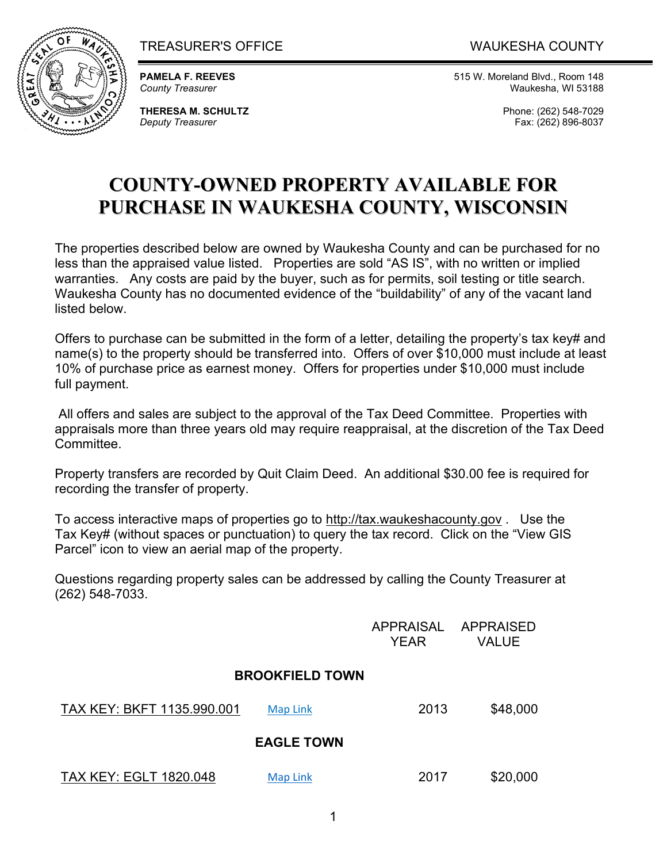

## TREASURER'S OFFICE WAUKESHA COUNTY

**THERESA M. SCHULTZ Phone:** (262) 548-7029 *Deputy Treasurer* Fax: (262) 896-8037

**PAMELA F. REEVES**<br>County Treasurer **County Treasurer** State of the State of the State of the State of the State of the State of th<br>Waukesha, WI 53188 *County Treasurer* Waukesha, WI 53188

## **COUNTY-OWNED PROPERTY AVAILABLE FOR PURCHASE IN WAUKESHA COUNTY, WISCONSIN**

The properties described below are owned by Waukesha County and can be purchased for no less than the appraised value listed. Properties are sold "AS IS", with no written or implied warranties. Any costs are paid by the buyer, such as for permits, soil testing or title search. Waukesha County has no documented evidence of the "buildability" of any of the vacant land listed below.

Offers to purchase can be submitted in the form of a letter, detailing the property's tax key# and name(s) to the property should be transferred into. Offers of over \$10,000 must include at least 10% of purchase price as earnest money. Offers for properties under \$10,000 must include full payment.

All offers and sales are subject to the approval of the Tax Deed Committee. Properties with appraisals more than three years old may require reappraisal, at the discretion of the Tax Deed Committee.

Property transfers are recorded by Quit Claim Deed. An additional \$30.00 fee is required for recording the transfer of property.

To access interactive maps of properties go to http://tax.waukeshacounty.gov . Use the Tax Key# (without spaces or punctuation) to query the tax record. Click on the "View GIS Parcel" icon to view an aerial map of the property.

Questions regarding property sales can be addressed by calling the County Treasurer at (262) 548-7033.

|                               |          | <b>YEAR</b> | APPRAISAL APPRAISED<br><b>VALUE</b> |  |  |  |
|-------------------------------|----------|-------------|-------------------------------------|--|--|--|
| <b>BROOKFIELD TOWN</b>        |          |             |                                     |  |  |  |
| TAX KEY: BKFT 1135.990.001    | Map Link | 2013        | \$48,000                            |  |  |  |
| <b>EAGLE TOWN</b>             |          |             |                                     |  |  |  |
| <b>TAX KEY: EGLT 1820.048</b> | Map Link | 2017        | \$20,000                            |  |  |  |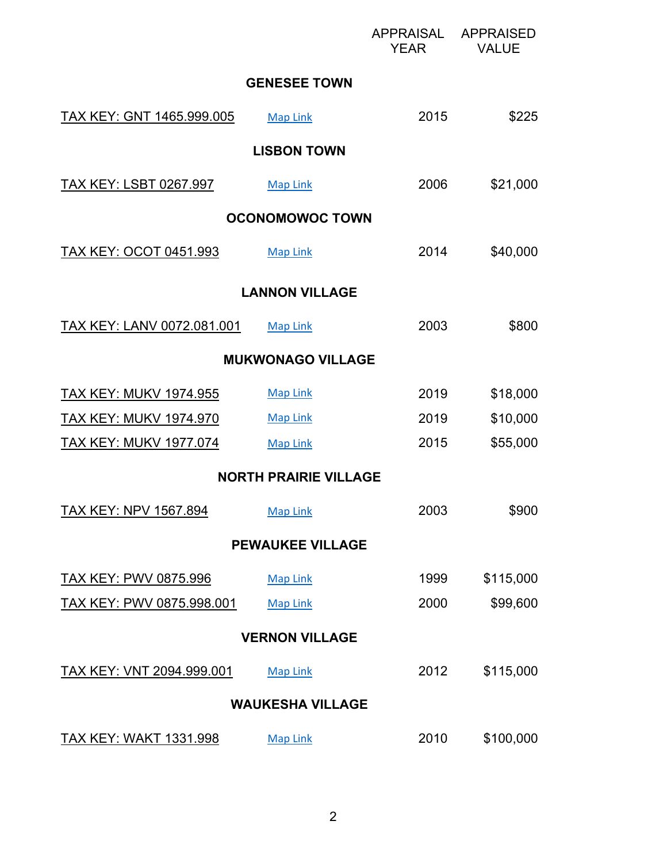|                               |                       | APPRAISAL<br><b>YEAR</b> | APPRAISED<br><b>VALUE</b> |  |  |  |
|-------------------------------|-----------------------|--------------------------|---------------------------|--|--|--|
| <b>GENESEE TOWN</b>           |                       |                          |                           |  |  |  |
| TAX KEY: GNT 1465.999.005     | <b>Map Link</b>       | 2015                     | \$225                     |  |  |  |
| <b>LISBON TOWN</b>            |                       |                          |                           |  |  |  |
| <b>TAX KEY: LSBT 0267.997</b> | <b>Map Link</b>       | 2006                     | \$21,000                  |  |  |  |
| <b>OCONOMOWOC TOWN</b>        |                       |                          |                           |  |  |  |
| TAX KEY: OCOT 0451.993        | <b>Map Link</b>       | 2014                     | \$40,000                  |  |  |  |
| <b>LANNON VILLAGE</b>         |                       |                          |                           |  |  |  |
| TAX KEY: LANV 0072.081.001    | <b>Map Link</b>       | 2003                     | \$800                     |  |  |  |
| <b>MUKWONAGO VILLAGE</b>      |                       |                          |                           |  |  |  |
| <b>TAX KEY: MUKV 1974.955</b> | <b>Map Link</b>       | 2019                     | \$18,000                  |  |  |  |
| <b>TAX KEY: MUKV 1974.970</b> | <b>Map Link</b>       | 2019                     | \$10,000                  |  |  |  |
| <b>TAX KEY: MUKV 1977.074</b> | <b>Map Link</b>       | 2015                     | \$55,000                  |  |  |  |
| <b>NORTH PRAIRIE VILLAGE</b>  |                       |                          |                           |  |  |  |
| TAX KEY: NPV 1567.894         | <b>Map Link</b>       | 2003                     | \$900                     |  |  |  |
| <b>PEWAUKEE VILLAGE</b>       |                       |                          |                           |  |  |  |
| TAX KEY: PWV 0875.996         | <b>Map Link</b>       | 1999                     | \$115,000                 |  |  |  |
| TAX KEY: PWV 0875.998.001     | <b>Map Link</b>       | 2000                     | \$99,600                  |  |  |  |
|                               | <b>VERNON VILLAGE</b> |                          |                           |  |  |  |
| TAX KEY: VNT 2094.999.001     | <b>Map Link</b>       | 2012                     | \$115,000                 |  |  |  |
| <b>WAUKESHA VILLAGE</b>       |                       |                          |                           |  |  |  |
| <u>TAX KEY: WAKT 1331.998</u> | <b>Map Link</b>       | 2010                     | \$100,000                 |  |  |  |